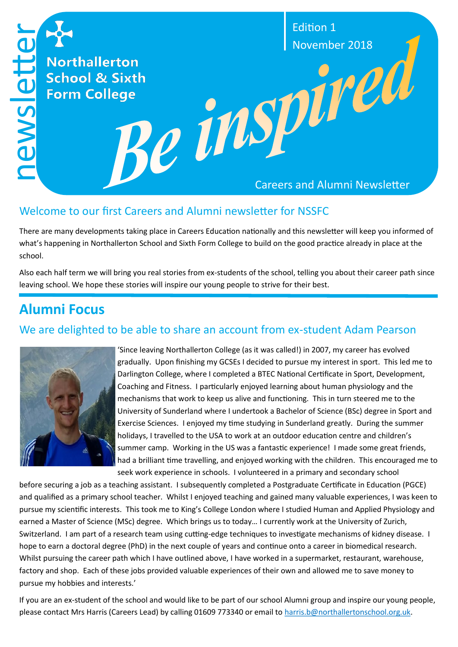

#### Welcome to our first Careers and Alumni newsletter for NSSFC

There are many developments taking place in Careers Education nationally and this newsletter will keep you informed of what's happening in Northallerton School and Sixth Form College to build on the good practice already in place at the school.

Also each half term we will bring you real stories from ex-students of the school, telling you about their career path since leaving school. We hope these stories will inspire our young people to strive for their best.

## **Alumni Focus**

## We are delighted to be able to share an account from ex-student Adam Pearson



'Since leaving Northallerton College (as it was called!) in 2007, my career has evolved gradually. Upon finishing my GCSEs I decided to pursue my interest in sport. This led me to Darlington College, where I completed a BTEC National Certificate in Sport, Development, Coaching and Fitness. I particularly enjoyed learning about human physiology and the mechanisms that work to keep us alive and functioning. This in turn steered me to the University of Sunderland where I undertook a Bachelor of Science (BSc) degree in Sport and Exercise Sciences. I enjoyed my time studying in Sunderland greatly. During the summer holidays, I travelled to the USA to work at an outdoor education centre and children's summer camp. Working in the US was a fantastic experience! I made some great friends, had a brilliant time travelling, and enjoyed working with the children. This encouraged me to seek work experience in schools. I volunteered in a primary and secondary school

before securing a job as a teaching assistant. I subsequently completed a Postgraduate Certificate in Education (PGCE) and qualified as a primary school teacher. Whilst I enjoyed teaching and gained many valuable experiences, I was keen to pursue my scientific interests. This took me to King's College London where I studied Human and Applied Physiology and earned a Master of Science (MSc) degree. Which brings us to today… I currently work at the University of Zurich, Switzerland. I am part of a research team using cutting-edge techniques to investigate mechanisms of kidney disease. I hope to earn a doctoral degree (PhD) in the next couple of years and continue onto a career in biomedical research. Whilst pursuing the career path which I have outlined above, I have worked in a supermarket, restaurant, warehouse, factory and shop. Each of these jobs provided valuable experiences of their own and allowed me to save money to pursue my hobbies and interests.'

If you are an ex-student of the school and would like to be part of our school Alumni group and inspire our young people, please contact Mrs Harris (Careers Lead) by calling 01609 773340 or email to [harris.b@northallertonschool.org.uk.](mailto:harris.b@northallertonschool.org.uk)